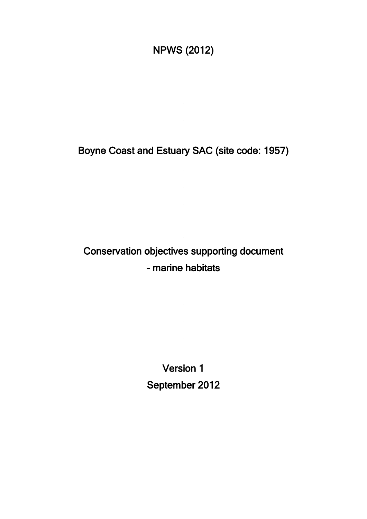NPWS (2012)

Boyne Coast and Estuary SAC (site code: 1957)

## Conservation objectives supporting document - marine habitats

Version 1 September 2012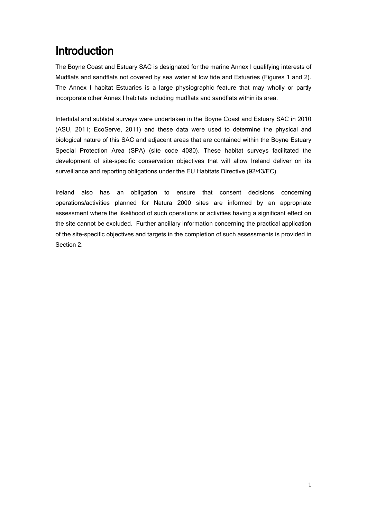### Introduction

The Boyne Coast and Estuary SAC is designated for the marine Annex I qualifying interests of Mudflats and sandflats not covered by sea water at low tide and Estuaries (Figures 1 and 2). The Annex I habitat Estuaries is a large physiographic feature that may wholly or partly incorporate other Annex I habitats including mudflats and sandflats within its area.

Intertidal and subtidal surveys were undertaken in the Boyne Coast and Estuary SAC in 2010 (ASU, 2011; EcoServe, 2011) and these data were used to determine the physical and biological nature of this SAC and adjacent areas that are contained within the Boyne Estuary Special Protection Area (SPA) (site code 4080). These habitat surveys facilitated the development of site-specific conservation objectives that will allow Ireland deliver on its surveillance and reporting obligations under the EU Habitats Directive (92/43/EC).

Ireland also has an obligation to ensure that consent decisions concerning operations/activities planned for Natura 2000 sites are informed by an appropriate assessment where the likelihood of such operations or activities having a significant effect on the site cannot be excluded. Further ancillary information concerning the practical application of the site-specific objectives and targets in the completion of such assessments is provided in Section 2.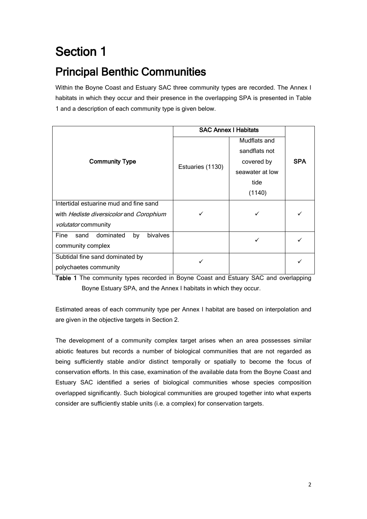# Section 1

## Principal Benthic Communities

Within the Boyne Coast and Estuary SAC three community types are recorded. The Annex I habitats in which they occur and their presence in the overlapping SPA is presented in Table 1 and a description of each community type is given below.

|                                             | <b>SAC Annex I Habitats</b> |                 |            |  |  |  |
|---------------------------------------------|-----------------------------|-----------------|------------|--|--|--|
|                                             |                             | Mudflats and    |            |  |  |  |
|                                             |                             | sandflats not   |            |  |  |  |
| <b>Community Type</b>                       |                             | covered by      | <b>SPA</b> |  |  |  |
|                                             | Estuaries (1130)            | seawater at low |            |  |  |  |
|                                             |                             | tide            |            |  |  |  |
|                                             |                             | (1140)          |            |  |  |  |
| Intertidal estuarine mud and fine sand      |                             |                 |            |  |  |  |
| with Hediste diversicolor and Corophium     |                             |                 |            |  |  |  |
| volutator community                         |                             |                 |            |  |  |  |
| dominated<br>bivalves<br>Fine<br>by<br>sand |                             | ✓               |            |  |  |  |
| community complex                           |                             |                 |            |  |  |  |
| Subtidal fine sand dominated by             |                             |                 |            |  |  |  |
| polychaetes community                       |                             |                 |            |  |  |  |

Table 1 The community types recorded in Boyne Coast and Estuary SAC and overlapping Boyne Estuary SPA, and the Annex I habitats in which they occur.

Estimated areas of each community type per Annex I habitat are based on interpolation and are given in the objective targets in Section 2.

The development of a community complex target arises when an area possesses similar abiotic features but records a number of biological communities that are not regarded as being sufficiently stable and/or distinct temporally or spatially to become the focus of conservation efforts. In this case, examination of the available data from the Boyne Coast and Estuary SAC identified a series of biological communities whose species composition overlapped significantly. Such biological communities are grouped together into what experts consider are sufficiently stable units (i.e. a complex) for conservation targets.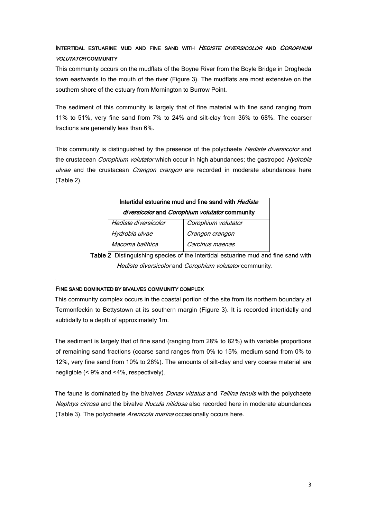### INTERTIDAL ESTUARINE MUD AND FINE SAND WITH HEDISTE DIVERSICOLOR AND COROPHIUM VOLUTATOR COMMUNITY

This community occurs on the mudflats of the Boyne River from the Boyle Bridge in Drogheda town eastwards to the mouth of the river (Figure 3). The mudflats are most extensive on the southern shore of the estuary from Mornington to Burrow Point.

The sediment of this community is largely that of fine material with fine sand ranging from 11% to 51%, very fine sand from 7% to 24% and silt-clay from 36% to 68%. The coarser fractions are generally less than 6%.

This community is distinguished by the presence of the polychaete *Hediste diversicolor* and the crustacean *Corophium volutator* which occur in high abundances; the gastropod Hydrobia ulvae and the crustacean *Crangon crangon* are recorded in moderate abundances here (Table 2).

| Intertidal estuarine mud and fine sand with <i>Hediste</i> |                 |  |  |  |  |  |
|------------------------------------------------------------|-----------------|--|--|--|--|--|
| diversicolor and Corophium volutator community             |                 |  |  |  |  |  |
| Corophium volutator<br>Hediste diversicolor                |                 |  |  |  |  |  |
| Hydrobia ulvae                                             | Crangon crangon |  |  |  |  |  |
| Macoma balthica                                            | Carcinus maenas |  |  |  |  |  |

Table 2 Distinguishing species of the Intertidal estuarine mud and fine sand with Hediste diversicolor and Corophium volutator community.

#### FINE SAND DOMINATED BY BIVALVES COMMUNITY COMPLEX

This community complex occurs in the coastal portion of the site from its northern boundary at Termonfeckin to Bettystown at its southern margin (Figure 3). It is recorded intertidally and subtidally to a depth of approximately 1m.

The sediment is largely that of fine sand (ranging from 28% to 82%) with variable proportions of remaining sand fractions (coarse sand ranges from 0% to 15%, medium sand from 0% to 12%, very fine sand from 10% to 26%). The amounts of silt-clay and very coarse material are negligible (< 9% and <4%, respectively).

The fauna is dominated by the bivalves *Donax vittatus* and Tellina tenuis with the polychaete Nephtys cirrosa and the bivalve Nucula nitidosa also recorded here in moderate abundances (Table 3). The polychaete Arenicola marina occasionally occurs here.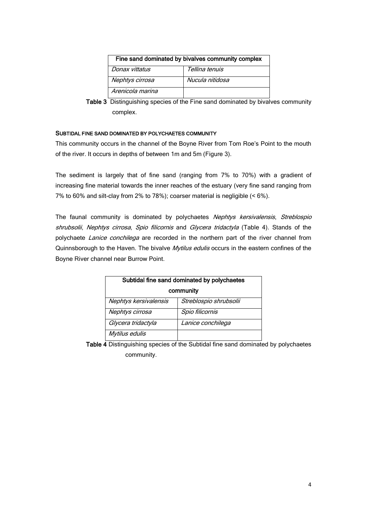| Fine sand dominated by bivalves community complex |                 |  |  |  |  |  |
|---------------------------------------------------|-----------------|--|--|--|--|--|
| Donax vittatus                                    | Tellina tenuis  |  |  |  |  |  |
| Nephtys cirrosa                                   | Nucula nitidosa |  |  |  |  |  |
| Arenicola marina                                  |                 |  |  |  |  |  |

Table 3 Distinguishing species of the Fine sand dominated by bivalves community complex.

#### SUBTIDAL FINE SAND DOMINATED BY POLYCHAETES COMMUNITY

This community occurs in the channel of the Boyne River from Tom Roe's Point to the mouth of the river. It occurs in depths of between 1m and 5m (Figure 3).

The sediment is largely that of fine sand (ranging from 7% to 70%) with a gradient of increasing fine material towards the inner reaches of the estuary (very fine sand ranging from 7% to 60% and silt-clay from 2% to 78%); coarser material is negligible (< 6%).

The faunal community is dominated by polychaetes Nephtys kersivalensis, Streblospio shrubsolii, Nephtys cirrosa, Spio filicornis and Glycera tridactyla (Table 4). Stands of the polychaete Lanice conchilega are recorded in the northern part of the river channel from Quinnsborough to the Haven. The bivalve Mytilus edulis occurs in the eastern confines of the Boyne River channel near Burrow Point.

| Subtidal fine sand dominated by polychaetes |                        |  |  |  |  |
|---------------------------------------------|------------------------|--|--|--|--|
| community                                   |                        |  |  |  |  |
| Nephtys kersivalensis                       | Streblospio shrubsolii |  |  |  |  |
| Nephtys cirrosa                             | Spio filicornis        |  |  |  |  |
| Glycera tridactyla                          | Lanice conchilega      |  |  |  |  |
| Mytilus edulis                              |                        |  |  |  |  |

Table 4 Distinguishing species of the Subtidal fine sand dominated by polychaetes community.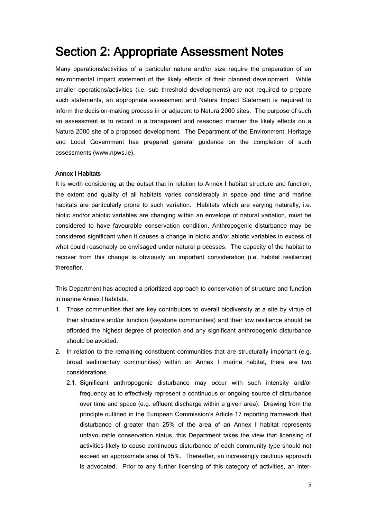### Section 2: Appropriate Assessment Notes

Many operations/activities of a particular nature and/or size require the preparation of an environmental impact statement of the likely effects of their planned development. While smaller operations/activities (i.e. sub threshold developments) are not required to prepare such statements, an appropriate assessment and Natura Impact Statement is required to inform the decision-making process in or adjacent to Natura 2000 sites. The purpose of such an assessment is to record in a transparent and reasoned manner the likely effects on a Natura 2000 site of a proposed development. The Department of the Environment, Heritage and Local Government has prepared general guidance on the completion of such assessments (www.npws.ie).

#### Annex I Habitats

It is worth considering at the outset that in relation to Annex I habitat structure and function, the extent and quality of all habitats varies considerably in space and time and marine habitats are particularly prone to such variation. Habitats which are varying naturally, i.e. biotic and/or abiotic variables are changing within an envelope of natural variation, must be considered to have favourable conservation condition. Anthropogenic disturbance may be considered significant when it causes a change in biotic and/or abiotic variables in excess of what could reasonably be envisaged under natural processes. The capacity of the habitat to recover from this change is obviously an important consideration (i.e. habitat resilience) thereafter.

This Department has adopted a prioritized approach to conservation of structure and function in marine Annex I habitats.

- 1. Those communities that are key contributors to overall biodiversity at a site by virtue of their structure and/or function (keystone communities) and their low resilience should be afforded the highest degree of protection and any significant anthropogenic disturbance should be avoided.
- 2. In relation to the remaining constituent communities that are structurally important (e.g. broad sedimentary communities) within an Annex I marine habitat, there are two considerations.
	- 2.1. Significant anthropogenic disturbance may occur with such intensity and/or frequency as to effectively represent a continuous or ongoing source of disturbance over time and space (e.g. effluent discharge within a given area). Drawing from the principle outlined in the European Commission's Article 17 reporting framework that disturbance of greater than 25% of the area of an Annex I habitat represents unfavourable conservation status, this Department takes the view that licensing of activities likely to cause continuous disturbance of each community type should not exceed an approximate area of 15%. Thereafter, an increasingly cautious approach is advocated. Prior to any further licensing of this category of activities, an inter-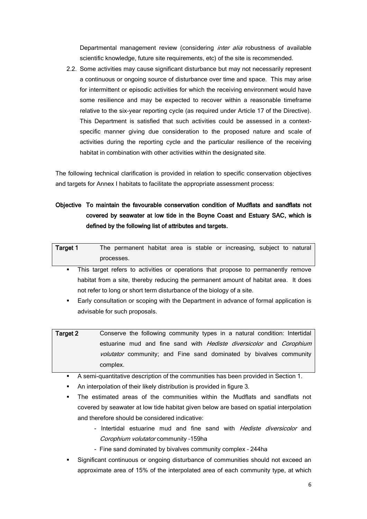Departmental management review (considering *inter alia* robustness of available scientific knowledge, future site requirements, etc) of the site is recommended.

2.2. Some activities may cause significant disturbance but may not necessarily represent a continuous or ongoing source of disturbance over time and space. This may arise for intermittent or episodic activities for which the receiving environment would have some resilience and may be expected to recover within a reasonable timeframe relative to the six-year reporting cycle (as required under Article 17 of the Directive). This Department is satisfied that such activities could be assessed in a contextspecific manner giving due consideration to the proposed nature and scale of activities during the reporting cycle and the particular resilience of the receiving habitat in combination with other activities within the designated site.

The following technical clarification is provided in relation to specific conservation objectives and targets for Annex I habitats to facilitate the appropriate assessment process:

### Objective To maintain the favourable conservation condition of Mudflats and sandflats not covered by seawater at low tide in the Boyne Coast and Estuary SAC, which is defined by the following list of attributes and targets.

| Target 1 | The permanent habitat area is stable or increasing, subject to natural |  |  |  |  |  |
|----------|------------------------------------------------------------------------|--|--|--|--|--|
|          | processes.                                                             |  |  |  |  |  |
|          |                                                                        |  |  |  |  |  |

- This target refers to activities or operations that propose to permanently remove habitat from a site, thereby reducing the permanent amount of habitat area. It does not refer to long or short term disturbance of the biology of a site.
- Early consultation or scoping with the Department in advance of formal application is advisable for such proposals.
- Target 2 Conserve the following community types in a natural condition: Intertidal estuarine mud and fine sand with Hediste diversicolor and Corophium volutator community; and Fine sand dominated by bivalves community complex.
	- A semi-quantitative description of the communities has been provided in Section 1.
	- An interpolation of their likely distribution is provided in figure 3.
	- The estimated areas of the communities within the Mudflats and sandflats not covered by seawater at low tide habitat given below are based on spatial interpolation and therefore should be considered indicative:
		- Intertidal estuarine mud and fine sand with Hediste diversicolor and Corophium volutator community –159ha
		- Fine sand dominated by bivalves community complex 244ha
	- Significant continuous or ongoing disturbance of communities should not exceed an approximate area of 15% of the interpolated area of each community type, at which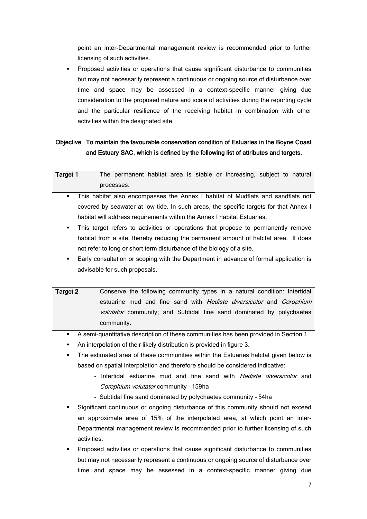point an inter-Departmental management review is recommended prior to further licensing of such activities.

 Proposed activities or operations that cause significant disturbance to communities but may not necessarily represent a continuous or ongoing source of disturbance over time and space may be assessed in a context-specific manner giving due consideration to the proposed nature and scale of activities during the reporting cycle and the particular resilience of the receiving habitat in combination with other activities within the designated site.

### Objective To maintain the favourable conservation condition of Estuaries in the Boyne Coast and Estuary SAC, which is defined by the following list of attributes and targets.

| Target 1 |            |  |  | The permanent habitat area is stable or increasing, subject to natural |  |  |
|----------|------------|--|--|------------------------------------------------------------------------|--|--|
|          | processes. |  |  |                                                                        |  |  |

- This habitat also encompasses the Annex I habitat of Mudflats and sandflats not covered by seawater at low tide. In such areas, the specific targets for that Annex I habitat will address requirements within the Annex I habitat Estuaries.
- This target refers to activities or operations that propose to permanently remove habitat from a site, thereby reducing the permanent amount of habitat area. It does not refer to long or short term disturbance of the biology of a site.
- Early consultation or scoping with the Department in advance of formal application is advisable for such proposals.
- Target 2 Conserve the following community types in a natural condition: Intertidal estuarine mud and fine sand with Hediste diversicolor and Corophium volutator community; and Subtidal fine sand dominated by polychaetes community.

A semi-quantitative description of these communities has been provided in Section 1.

- An interpolation of their likely distribution is provided in figure 3.
- The estimated area of these communities within the Estuaries habitat given below is based on spatial interpolation and therefore should be considered indicative:
	- Intertidal estuarine mud and fine sand with *Hediste diversicolor* and Corophium volutator community – 159ha
	- Subtidal fine sand dominated by polychaetes community 54ha
- Significant continuous or ongoing disturbance of this community should not exceed an approximate area of 15% of the interpolated area, at which point an inter-Departmental management review is recommended prior to further licensing of such activities.
- Proposed activities or operations that cause significant disturbance to communities but may not necessarily represent a continuous or ongoing source of disturbance over time and space may be assessed in a context-specific manner giving due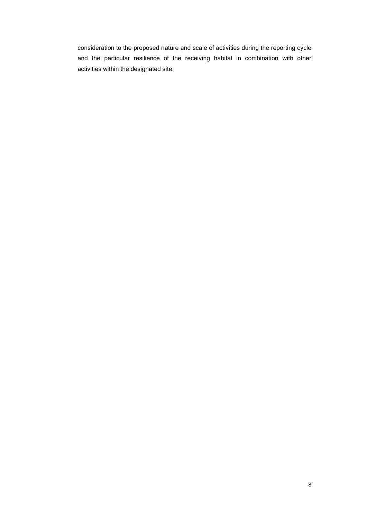consideration to the proposed nature and scale of activities during the reporting cycle and the particular resilience of the receiving habitat in combination with other activities within the designated site.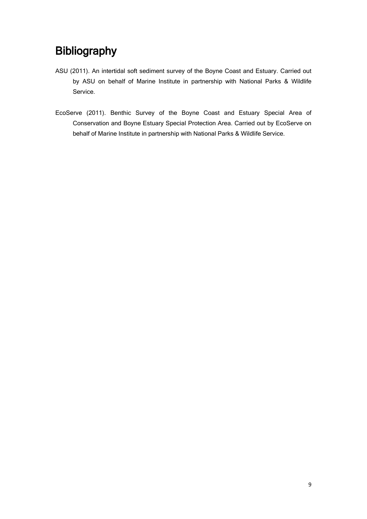## Bibliography

- ASU (2011). An intertidal soft sediment survey of the Boyne Coast and Estuary. Carried out by ASU on behalf of Marine Institute in partnership with National Parks & Wildlife Service.
- EcoServe (2011). Benthic Survey of the Boyne Coast and Estuary Special Area of Conservation and Boyne Estuary Special Protection Area. Carried out by EcoServe on behalf of Marine Institute in partnership with National Parks & Wildlife Service.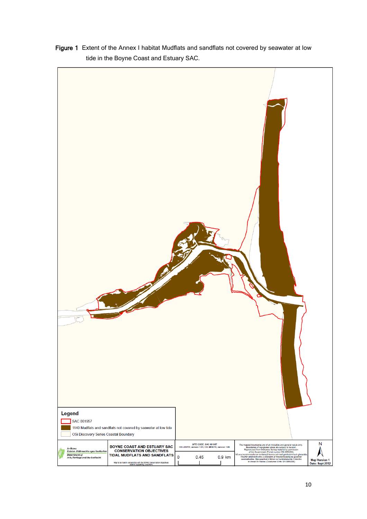Figure 1 Extent of the Annex I habitat Mudflats and sandflats not covered by seawater at low tide in the Boyne Coast and Estuary SAC.

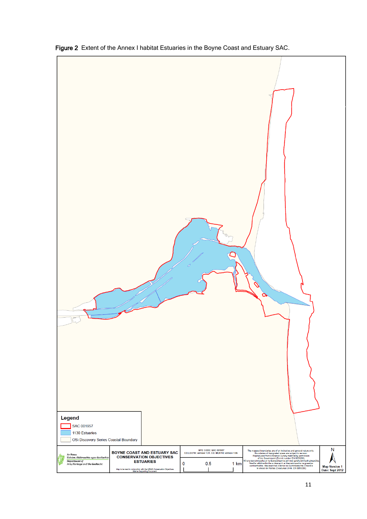

Figure 2 Extent of the Annex I habitat Estuaries in the Boyne Coast and Estuary SAC.